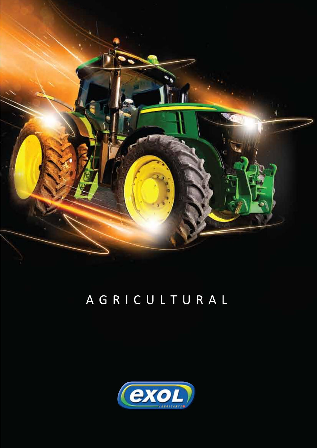

# AGRICULTURAL

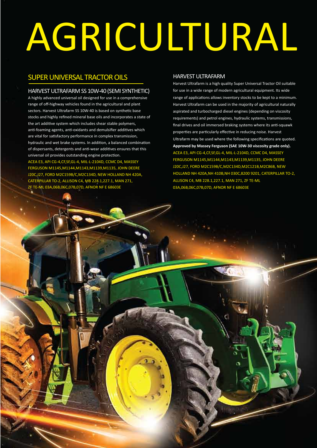# AGRICULTURAL

## SUPER UNIVERSAL TRACTOR OILS

#### HARVEST ULTRAFARM SS 10W-40 (SEMI SYNTHETIC)

A highly advanced universal oil designed for use in a comprehensive range of off-highway vehicles found in the agricultural and plant sectors. Harvest Ultrafarm SS 10W-40 is based on synthetic base stocks and highly refined mineral base oils and incorporates a state of the art additive system which includes shear stable polymers, anti-foaming agents, anti-oxidants and demulsifier additives which are vital for satisfactory performance in complex transmission, hydraulic and wet brake systems. In addition, a balanced combination of dispersants, detergents and anti-wear additives ensures that this universal oil provides outstanding engine protection. ACEA E3, API CG-4,CF,SF,GL-4, MIL-L-2104D, CCMC D4, MASSEY FERGUSON M1145,M1144,M1143,M1139,M1135, JOHN DEERE J20C,J27, FORD M2C159B/C,M2C134D, NEW HOLLAND NH 420A, CATERPILLAR TO-2, ALLISON C4, MB 228.1,227.1, MAN 271, ZF TE-ML 03A,06B,06C,07B,07D, AFNOR NF E 68603E

#### HARVEST ULTRAFARM

Harvest Ultrafarm is a high quality Super Universal Tractor Oil suitable for use in a wide range of modern agricultural equipment. Its wide range of applications allows inventory stocks to be kept to a minimum. Harvest Ultrafarm can be used in the majority of agricultural naturally aspirated and turbocharged diesel engines (depending on viscosity requirements) and petrol engines, hydraulic systems, transmissions, final drives and oil immersed braking systems where its anti-squawk properties are particularly effective in reducing noise. Harvest Ultrafarm may be used where the following specifications are quoted. **Approved by Massey Ferguson (SAE 10W-30 viscosity grade only).** ACEA E3, API CG-4,CF,SF,GL-4, MIL-L-2104D, CCMC D4, MASSEY FERGUSON M1145,M1144,M1143,M1139,M1135, JOHN DEERE J20C,J27, FORD M2C159B/C,M2C134D,M2C121B,M2C86B, NEW HOLLAND NH 420A,NH 410B,NH 030C,8200 9201, CATERPILLAR TO-2, ALLISON C4, MB 228.1,227.1, MAN 271, ZF TE-ML 03A,06B,06C,07B,07D, AFNOR NF E 68603E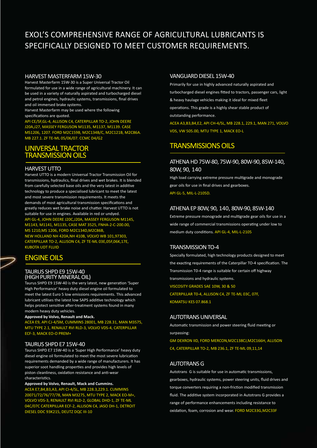# EXOL'S COMPREHENSIVE RANGE OF AGRICULTURAL LUBRICANTS IS SPECIFICALLY DESIGNED TO MEET CUSTOMER REQUIREMENTS.

#### HARVEST MASTERFARM 15W-30

Harvest Masterfarm 15W-30 is a Super Universal Tractor Oil formulated for use in a wide range of agricultural machinery. It can be used in a variety of naturally aspirated and turbocharged diesel and petrol engines, hydraulic systems, transmissions, final drives and oil immersed brake systems.

Harvest Masterfarm may be used where the following specifications are quoted.

API CE/SF,GL-4, ALLISON C4, CATERPILLAR TO-2, JOHN DEERE J20A,J27, MASSEY FERGUSON M1135, M1137, M1139. CASE MS1206, 1207. FORD M2C159B, M2C134B/C, M2C121B, M2C86A. MB 227.1. ZF TE-ML 05/06/07. CCMC D4/G2

## UNIVERSAL TRACTOR TRANSMISSION OILS

#### HARVEST UTTO

Harvest UTTO is a modern Universal Tractor Transmission Oil for transmissions, hydraulics, final drives and wet brakes. It is blended from carefully selected base oils and the very latest in additive technology to produce a specialised lubricant to meet the latest and most severe transmission requirements. It meets the demands of most agricultural transmission specifications and greatly reduces wet brake noise and chatter. Harvest UTTO is not suitable for use in engines. Available in red or undyed. API GL-4, JOHN DEERE J20C,J20A, MASSEY FERGUSON M1145, M1143, M1141, M1135, CASE MAT 3525, FNHA-2-C-200.00, MS 1210,MS 1206, FORD M2C134D,M2C86B, NEW HOLLAND NH 420A,NH 410B, VOLVO WB 101,97303, CATERPILLAR TO-2, ALLISON C4, ZF TE-ML 03E,05F,06K,17E, KUBOTA UDT FLUID

## ENGINE OILS

#### TAURUS SHPD E9 15W-40 (HIGH PURITY MINERAL OIL)

Taurus SHPD E9 15W-40 is the very latest, new generation 'Super High Performance' heavy duty diesel engine oil formulated to meet the latest Euro 5 low emissions requirements. This advanced lubricant utilises the latest low SAPS additive technology which helps protect sensitive after-treatment systems found in many modern heavy duty vehicles.

#### **Approved by Volvo, Renault and Mack.**

ea E9, API CJ-4/SM, CUMMINS 28001, MB 228.31, MAN M3575, MTU TYPE 2.1, RENAULT RVI RLD-3, VOLVO VDS-4, CATERPILLAR ECF-3, MACK EO-O PREM+

#### TAURUS SHPD E7 15W-40

Taurus SHPD E7 15W-40 is a 'Super High Performance' heavy duty diesel engine oil formulated to meet the most severe lubrication requirements demanded by a wide range of manufacturers. It has superior soot handling properties and provides high levels of piston cleanliness, oxidation resistance and anti-wear characteristics.

**Approved by Volvo, Renault, Mack and Cummins.** ACEA E7,B4,B3,A3, API CI-4/SL, MB 228.3,229.1. CUMMINS 20071/72/76/77/78, MAN M3275, MTU TYPE 2, MACK EO-M+, VOLVO VDS-3, RENAULT RVI RLD-2, GLOBAL DHD-1, ZF TE-ML 04C/07C CATERPILLAR ECF-2, ALLISON C4, JASO DH-1, DETROIT DIESEL DDC 93K215, DEUTZ DQC III-10

#### VANGUARD DIESEL 15W-40

Primarily for use in highly advanced naturally aspirated and turbocharged diesel engines fitted to tractors, passenger cars, light & heavy haulage vehicles making it ideal for mixed fleet operations. This grade is a highly shear stable product of outstanding performance.

ACEA A3,B3,B4,E2, API CH-4/SL, MB 228.1, 229.1, MAN 271, VOLVO VDS, VW 505.00, MTU TYPE 1, MACK EO-L

## TRANSMISSIONS OILS

#### ATHENA HD 75W-80, 75W-90, 80W-90, 85W-140, 80W, 90, 140

High load carrying extreme pressure multigrade and monograde gear oils for use in final drives and gearboxes.

API GL-5, MIL-L-2105D.

#### ATHENA EP 80W, 90, 140, 80W-90, 85W-140

Extreme pressure monograde and multigrade gear oils for use in a wide range of commercial transmissions operating under low to medium duty conditions. API GL-4, MIL-L-2105

#### TRANSMISSION TO-4

Specially formulated, high technology products designed to meet the exacting requirements of the Caterpillar TO-4 specification. The Transmission T0-4 range is suitable for certain off highway transmissions and hydraulic systems. VISCOSITY GRADES SAE 10W, 30 & 50 CATERPILLAR T0-4, ALLISON C4, ZF TE-ML 03C, 07F, KOMATSU KES 07.868.1

AUTOTRANS UNIVERSAL

Automatic transmission and power steering fluid meeting or surpassing:

GM DEXRON IID, FORD MERCON,M2C138CJ,M2C166H, ALLISON C4, CATERPILLAR TO-2, MB 236.1, ZF TE-ML 09,11,14

#### AUTOTRANS G

Autotrans G is suitable for use in automatic transmissions, gearboxes, hydraulic systems, power steering units, fluid drives and torque converters requiring a non-friction modified transmission fluid. The additive system incorporated in Autotrans G provides a range of performance enhancements including resistance to oxidation, foam, corrosion and wear. FORD M2C33G,M2C33F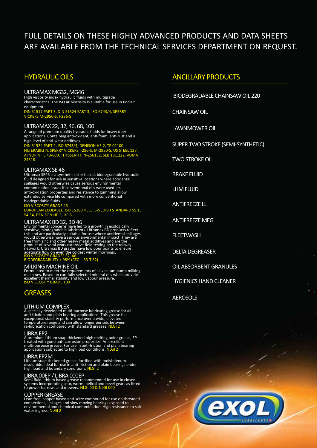# FULL DETAILS ON THESE HIGHLY ADVANCED PRODUCTS AND DATA SHEETS ARE AVAILABLE FROM THE TECHNICAL SERVICES DEPARTMENT ON REQUEST.

## HYDRAULIC OILS

#### ULTRAMAX MG32, MG46

High viscosity index hydraulic fluids with multigrade characteristics. The ISO 46 viscosity is suitable for use in Poclain equipment. DIN 51517 PART 3, DIN 51524 PART 3, ISO 6743/4, SPERRY VICKERS M-2950-S, I-286-S

ULTRAMAX 22, 32, 46, 68, 100 A range of premium quality hydraulic fluids for heavy duty applications. Containing anti-oxidant, anti-foam, anti-rust and a high level of anti-wear additives.

DIN 51524 PART 2, ISO 6743/4, DENISON HF-2, TP 02100 FILTERABILITY, SPERRY VICKERS I-286-S, M-2950-S, US STEEL 127, AFNOR NF E 48-600, THYSSEN TH N-256132, SEB 181.222, VDMA 24318

#### ULTRAMAX SE 46

Ultramax SE46 is a synthetic ester based, biodegradable hydraulic fluid designed for use in sensitive locations where accidental spillages would otherwise cause serious environmental contamination issues if conventional oils were used. Its anti-oxidation properties and resistance to gumming allow extended service life compared with more conventional biodegradable fluids.

ISO VISCOSITY GRADE 46

EUROPEAN ECOLABEL, ISO 15380 HEES, SWEDISH STANDARD SS 15 54 34, DENISON HF-2, HF-6

ULTRAMAX BD 32, BD 46<br>Environmental concerns have led to a growth in ecologically<br>sensitive, biodegradable lubricants. Ultramax BD products reflect<br>this and are particularly suitable for use where accidental spillages<br>woul

ace HOW GRADES 32, 46<br>GRADABILITY > 98% (CEC-L-33-T-82)

MILKING MACHINE OIL<br>Formulated to meet the requirements of all vacuum pump milking<br>machines. Based on carefully selected mineral oils which provide<br>excellent thermal stability and low vapour pressure.<br>ISO VISCOSITY GRADE 1

## **GREASES**

LITHIUM COMPLEX<br>A specially developed multi-purpose lubricating grease for all<br>anti-friction and plain bearing applications. This grease has<br>exceptional stability performance over a wide, elevated<br>temperature range and can

**LIBRA EP2**<br>A premium lithium soap thickened high melting point grease, EP<br>treated with good anti-corrosion properties. An excellent<br>multi-purpose grease. For use in anti-friction and plain bearing<br>applications subjected t

#### LIBRA EP2M

Lithium soap thickened grease fortified with molybdenum<br>disulphide. Ideal for use in anti-friction and plain bearings under<br>high load and boundary conditions. NLGI 2

LIBRA OOEP / LIBRA OOOEP<br>Semi fluid lithium based grease recommended for use in closed<br>systems incorporating spur, worm, helical and bevel gears as fitted<br>to power harrows and mowers. NLGI 00 & NLGI 000

COPPER GREASE<br>Lead free, copper based anti-seize compound for use on threaded<br>connections, linkages and slow moving bearings exposed to<br>environmental and chemical contamination. High resistance to salt<br>water ingress. NLGI

#### ANCILLARY PRODUCTS

BIODEGRADABLE CHAINSAW OIL 220

CHAINSAW OIL

LAWNMOWER OIL

SUPER TWO STROKE (SEMI-SYNTHETIC)

TWO STROKE OIL

BRAKE FLUID

LHM FLUID

ANTIFREEZE LL

ANTIFREEZE MEG

**FLEETWASH** 

DELTA DEGREASER

OIL ABSORBENT GRANULES

HYGIENICS HAND CLEANER

**AEROSOLS** 

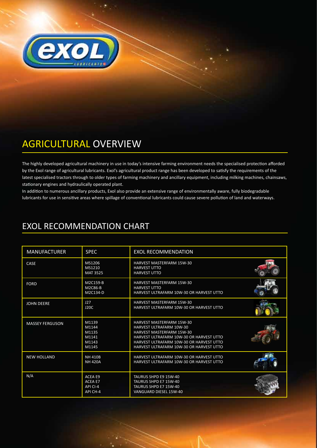

# AGRICULTURAL OVERVIEW

The highly developed agricultural machinery in use in today's intensive farming environment needs the specialised protection afforded by the Exol range of agricultural lubricants. Exol's agricultural product range has been developed to satisfy the requirements of the latest specialised tractors through to older types of farming machinery and ancillary equipment, including milking machines, chainsaws, stationary engines and hydraulically operated plant.

In addition to numerous ancillary products, Exol also provide an extensive range of environmentally aware, fully biodegradable lubricants for use in sensitive areas where spillage of conventional lubricants could cause severe pollution of land and waterways.

| <b>EXOL RECOMMENDATION CHART</b> |
|----------------------------------|
|----------------------------------|

| <b>MANUFACTURER</b>    | <b>SPEC</b>                                              | <b>EXOL RECOMMENDATION</b>                                                                                                                                                                                                           |  |
|------------------------|----------------------------------------------------------|--------------------------------------------------------------------------------------------------------------------------------------------------------------------------------------------------------------------------------------|--|
| CASE                   | MS1206<br>MS1210<br><b>MAT 3525</b>                      | HARVEST MASTERFARM 15W-30<br><b>HARVEST UTTO</b><br><b>HARVEST UTTO</b>                                                                                                                                                              |  |
| <b>FORD</b>            | M2C159-B<br>M2C86-B<br>M2C134-D                          | <b>HARVEST MASTERFARM 15W-30</b><br><b>HARVEST UTTO</b><br>HARVEST ULTRAFARM 10W-30 OR HARVEST UTTO                                                                                                                                  |  |
| <b>JOHN DEERE</b>      | 127<br>J20C                                              | <b>HARVEST MASTERFARM 15W-30</b><br>HARVEST ULTRAFARM 10W-30 OR HARVEST UTTO                                                                                                                                                         |  |
| <b>MASSEY FERGUSON</b> | M1139<br>M1144<br>M1135<br>M1141<br>M1143<br>M1145       | <b>HARVEST MASTERFARM 15W-30</b><br><b>HARVEST ULTRAFARM 10W-30</b><br>HARVEST MASTERFARM 15W-30<br>HARVEST ULTRAFARM 10W-30 OR HARVEST UTTO<br>HARVEST ULTRAFARM 10W-30 OR HARVEST UTTO<br>HARVEST ULTRAFARM 10W-30 OR HARVEST UTTO |  |
| <b>NEW HOLLAND</b>     | <b>NH 410B</b><br><b>NH 420A</b>                         | HARVEST ULTRAFARM 10W-30 OR HARVEST UTTO<br>HARVEST ULTRAFARM 10W-30 OR HARVEST UTTO                                                                                                                                                 |  |
| N/A                    | <b>ACEA E9</b><br><b>ACEA E7</b><br>API CI-4<br>API CH-4 | TAURUS SHPD E9 15W-40<br>TAURUS SHPD E7 15W-40<br>TAURUS SHPD E7 15W-40<br>VANGUARD DIESEL 15W-40                                                                                                                                    |  |